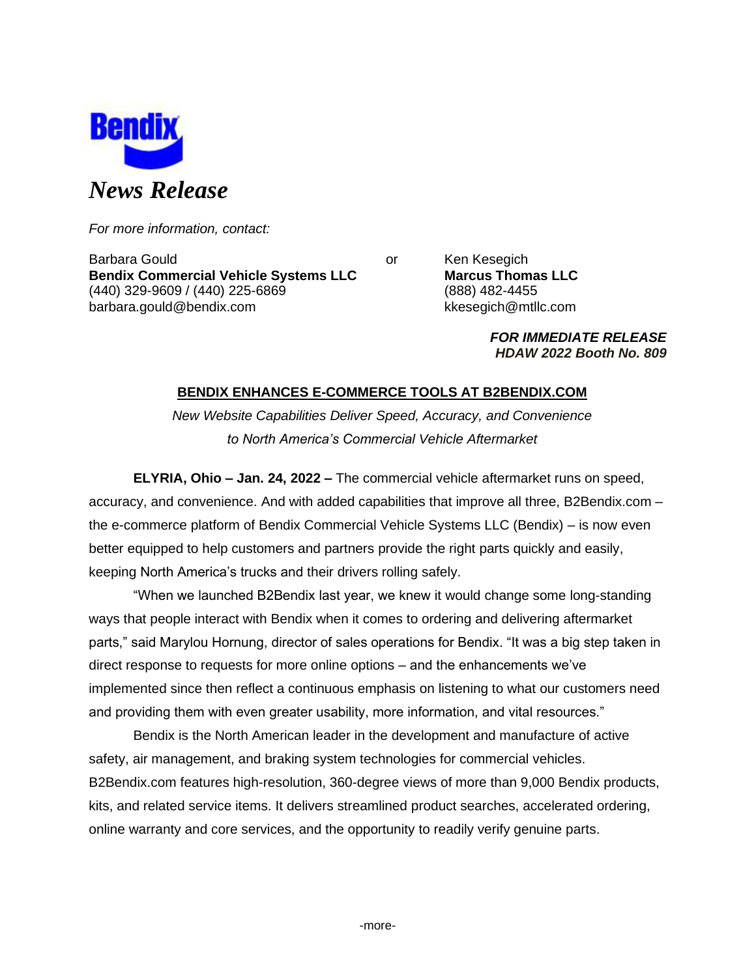

*For more information, contact:*

Barbara Gould **Communist Communist Communist Communist Communist Communist Communist Communist Communist Communist Communist Communist Communist Communist Communist Communist Communist Communist Communist Communist Communi Bendix Commercial Vehicle Systems LLC Marcus Thomas LLC** (440) 329-9609 / (440) 225-6869 (888) 482-4455 barbara.gould@bendix.com kkesegich@mtllc.com

*FOR IMMEDIATE RELEASE HDAW 2022 Booth No. 809*

# **BENDIX ENHANCES E-COMMERCE TOOLS AT B2BENDIX.COM**

*New Website Capabilities Deliver Speed, Accuracy, and Convenience to North America's Commercial Vehicle Aftermarket*

**ELYRIA, Ohio – Jan. 24, 2022 –** The commercial vehicle aftermarket runs on speed, accuracy, and convenience. And with added capabilities that improve all three, B2Bendix.com – the e-commerce platform of Bendix Commercial Vehicle Systems LLC (Bendix) – is now even better equipped to help customers and partners provide the right parts quickly and easily, keeping North America's trucks and their drivers rolling safely.

"When we launched B2Bendix last year, we knew it would change some long-standing ways that people interact with Bendix when it comes to ordering and delivering aftermarket parts," said Marylou Hornung, director of sales operations for Bendix. "It was a big step taken in direct response to requests for more online options – and the enhancements we've implemented since then reflect a continuous emphasis on listening to what our customers need and providing them with even greater usability, more information, and vital resources."

Bendix is the North American leader in the development and manufacture of active safety, air management, and braking system technologies for commercial vehicles. B2Bendix.com features high-resolution, 360-degree views of more than 9,000 Bendix products, kits, and related service items. It delivers streamlined product searches, accelerated ordering, online warranty and core services, and the opportunity to readily verify genuine parts.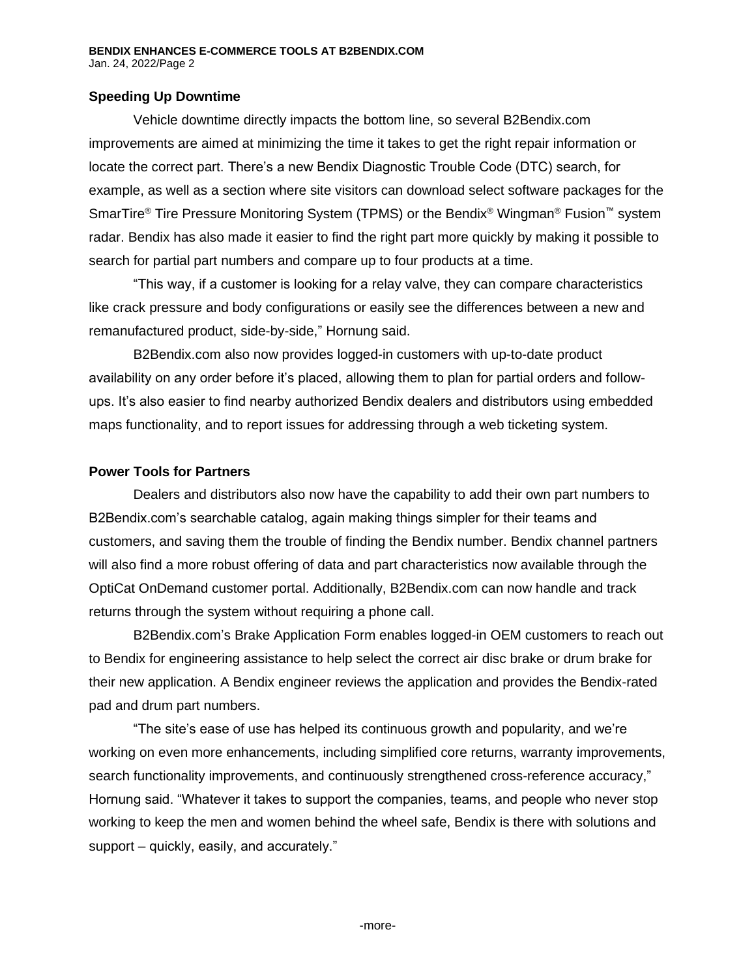## **Speeding Up Downtime**

Vehicle downtime directly impacts the bottom line, so several B2Bendix.com improvements are aimed at minimizing the time it takes to get the right repair information or locate the correct part. There's a new Bendix Diagnostic Trouble Code (DTC) search, for example, as well as a section where site visitors can download select software packages for the SmarTire® Tire Pressure Monitoring System (TPMS) or the Bendix® Wingman® Fusion™ system radar. Bendix has also made it easier to find the right part more quickly by making it possible to search for partial part numbers and compare up to four products at a time.

"This way, if a customer is looking for a relay valve, they can compare characteristics like crack pressure and body configurations or easily see the differences between a new and remanufactured product, side-by-side," Hornung said.

B2Bendix.com also now provides logged-in customers with up-to-date product availability on any order before it's placed, allowing them to plan for partial orders and followups. It's also easier to find nearby authorized Bendix dealers and distributors using embedded maps functionality, and to report issues for addressing through a web ticketing system.

### **Power Tools for Partners**

Dealers and distributors also now have the capability to add their own part numbers to B2Bendix.com's searchable catalog, again making things simpler for their teams and customers, and saving them the trouble of finding the Bendix number. Bendix channel partners will also find a more robust offering of data and part characteristics now available through the OptiCat OnDemand customer portal. Additionally, B2Bendix.com can now handle and track returns through the system without requiring a phone call.

B2Bendix.com's Brake Application Form enables logged-in OEM customers to reach out to Bendix for engineering assistance to help select the correct air disc brake or drum brake for their new application. A Bendix engineer reviews the application and provides the Bendix-rated pad and drum part numbers.

"The site's ease of use has helped its continuous growth and popularity, and we're working on even more enhancements, including simplified core returns, warranty improvements, search functionality improvements, and continuously strengthened cross-reference accuracy," Hornung said. "Whatever it takes to support the companies, teams, and people who never stop working to keep the men and women behind the wheel safe, Bendix is there with solutions and support – quickly, easily, and accurately."